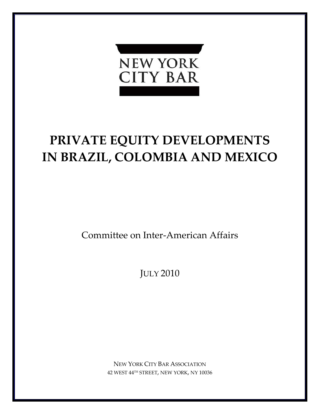

# **PRIVATE EQUITY DEVELOPMENTS IN BRAZIL, COLOMBIA AND MEXICO**

Committee on Inter‐American Affairs

JULY 2010

NEW YORK CITY BAR ASSOCIATION 42 WEST 44TH STREET, NEW YORK, NY 10036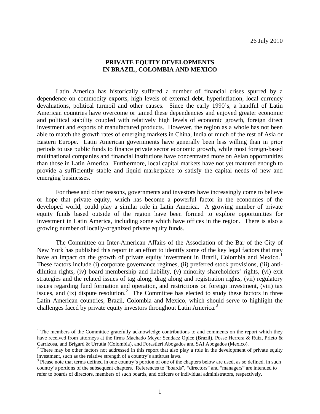## **PRIVATE EQUITY DEVELOPMENTS IN BRAZIL, COLOMBIA AND MEXICO**

 Latin America has historically suffered a number of financial crises spurred by a dependence on commodity exports, high levels of external debt, hyperinflation, local currency devaluations, political turmoil and other causes. Since the early 1990's, a handful of Latin American countries have overcome or tamed these dependencies and enjoyed greater economic and political stability coupled with relatively high levels of economic growth, foreign direct investment and exports of manufactured products. However, the region as a whole has not been able to match the growth rates of emerging markets in China, India or much of the rest of Asia or Eastern Europe. Latin American governments have generally been less willing than in prior periods to use public funds to finance private sector economic growth, while most foreign-based multinational companies and financial institutions have concentrated more on Asian opportunities than those in Latin America. Furthermore, local capital markets have not yet matured enough to provide a sufficiently stable and liquid marketplace to satisfy the capital needs of new and emerging businesses.

 For these and other reasons, governments and investors have increasingly come to believe or hope that private equity, which has become a powerful factor in the economies of the developed world, could play a similar role in Latin America. A growing number of private equity funds based outside of the region have been formed to explore opportunities for investment in Latin America, including some which have offices in the region. There is also a growing number of locally-organized private equity funds.

 The Committee on Inter-American Affairs of the Association of the Bar of the City of New York has published this report in an effort to identify some of the key legal factors that may have an impact on the growth of private equity investment in Brazil, Colombia and Mexico.<sup>[1](#page-1-0)</sup> These factors include (i) corporate governance regimes, (ii) preferred stock provisions, (iii) antidilution rights, (iv) board membership and liability, (v) minority shareholders' rights, (vi) exit strategies and the related issues of tag along, drag along and registration rights, (vii) regulatory issues regarding fund formation and operation, and restrictions on foreign investment, (viii) tax issues, and  $(ix)$  dispute resolution.<sup>[2](#page-1-1)</sup> The Committee has elected to study these factors in three Latin American countries, Brazil, Colombia and Mexico, which should serve to highlight the challenges faced by private equity investors throughout Latin America.<sup>[3](#page-1-2)</sup>

 $\overline{a}$ 

<span id="page-1-0"></span><sup>&</sup>lt;sup>1</sup> The members of the Committee gratefully acknowledge contributions to and comments on the report which they have received from attorneys at the firms Machado Meyer Sendacz Opice (Brazil), Posse Herrera & Ruiz, Prieto & Carrizosa, and Brigard & Urrutia (Colombia), and Forastieri Abogados and SAI Abogados (Mexico).

<span id="page-1-1"></span> $2$  There may be other factors not addressed in this report that also play a role in the development of private equity investment, such as the relative strength of a country's antitrust laws.

<span id="page-1-2"></span><sup>&</sup>lt;sup>3</sup> Please note that terms defined in one country's portion of one of the chapters below are used, as so defined, in such country's portions of the subsequent chapters. References to "boards", "directors" and "managers" are intended to refer to boards of directors, members of such boards, and officers or individual administrators, respectively.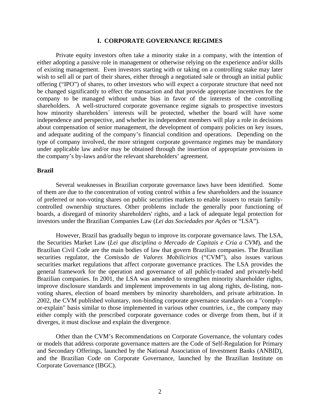#### **I. CORPORATE GOVERNANCE REGIMES**

 Private equity investors often take a minority stake in a company, with the intention of either adopting a passive role in management or otherwise relying on the experience and/or skills of existing management. Even investors starting with or taking on a controlling stake may later wish to sell all or part of their shares, either through a negotiated sale or through an initial public offering ("IPO") of shares, to other investors who will expect a corporate structure that need not be changed significantly to effect the transaction and that provide appropriate incentives for the company to be managed without undue bias in favor of the interests of the controlling shareholders. A well-structured corporate governance regime signals to prospective investors how minority shareholders' interests will be protected, whether the board will have some independence and perspective, and whether its independent members will play a role in decisions about compensation of senior management, the development of company policies on key issues, and adequate auditing of the company's financial condition and operations. Depending on the type of company involved, the more stringent corporate governance regimes may be mandatory under applicable law and/or may be obtained through the insertion of appropriate provisions in the company's by-laws and/or the relevant shareholders' agreement.

#### **Brazil**

Several weaknesses in Brazilian corporate governance laws have been identified. Some of them are due to the concentration of voting control within a few shareholders and the issuance of preferred or non-voting shares on public securities markets to enable issuers to retain familycontrolled ownership structures. Other problems include the generally poor functioning of boards, a disregard of minority shareholders' rights, and a lack of adequate legal protection for investors under the Brazilian Companies Law (*Lei das Sociedades por Ações* or "LSA").

However, Brazil has gradually begun to improve its corporate governance laws. The LSA, the Securities Market Law (*Lei que disciplina o Mercado de Capitais e Cria a CVM*), and the Brazilian Civil Code are the main bodies of law that govern Brazilian companies. The Brazilian securities regulator, the *Comissão de Valores Mobilicirios* ("CVM"), also issues various securities market regulations that affect corporate governance practices. The LSA provides the general framework for the operation and governance of all publicly-traded and privately-held Brazilian companies. In 2001, the LSA was amended to strengthen minority shareholder rights, improve disclosure standards and implement improvements in tag along rights, de-listing, nonvoting shares, election of board members by minority shareholders, and private arbitration. In 2002, the CVM published voluntary, non-binding corporate governance standards on a "complyor-explain" basis similar to those implemented in various other countries, i.e., the company may either comply with the prescribed corporate governance codes or diverge from them, but if it diverges, it must disclose and explain the divergence.

Other than the CVM's Recommendations on Corporate Governance, the voluntary codes or models that address corporate governance matters are the Code of Self-Regulation for Primary and Secondary Offerings, launched by the National Association of Investment Banks (ANBID), and the Brazilian Code on Corporate Governance, launched by the Brazilian Institute on Corporate Governance (IBGC).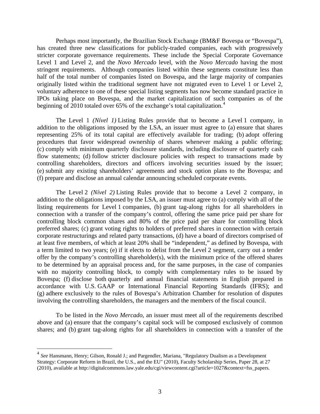Perhaps most importantly, the Brazilian Stock Exchange (BM&F Bovespa or "Bovespa"), has created three new classifications for publicly-traded companies, each with progressively stricter corporate governance requirements. These include the Special Corporate Governance Level 1 and Level 2, and the *Novo Mercado* level, with the *Novo Mercado* having the most stringent requirements. Although companies listed within these segments constitute less than half of the total number of companies listed on Bovespa, and the large majority of companies originally listed within the traditional segment have not migrated even to Level 1 or Level 2, voluntary adherence to one of these special listing segments has now become standard practice in IPOs taking place on Bovespa, and the market capitalization of such companies as of the beginning of 2010 totaled over 65% of the exchange's total capitalization.<sup>[4](#page-3-0)</sup>

The Level 1 *(Nível 1)* Listing Rules provide that to become a Level 1 company, in addition to the obligations imposed by the LSA, an issuer must agree to (a) ensure that shares representing 25% of its total capital are effectively available for trading; (b) adopt offering procedures that favor widespread ownership of shares whenever making a public offering; (c) comply with minimum quarterly disclosure standards, including disclosure of quarterly cash flow statements; (d) follow stricter disclosure policies with respect to transactions made by controlling shareholders, directors and officers involving securities issued by the issuer; (e) submit any existing shareholders' agreements and stock option plans to the Bovespa; and (f) prepare and disclose an annual calendar announcing scheduled corporate events.

 The Level 2 *(Nível 2)* Listing Rules provide that to become a Level 2 company, in addition to the obligations imposed by the LSA, an issuer must agree to (a) comply with all of the listing requirements for Level 1 companies, (b) grant tag-along rights for all shareholders in connection with a transfer of the company's control, offering the same price paid per share for controlling block common shares and 80% of the price paid per share for controlling block preferred shares; (c) grant voting rights to holders of preferred shares in connection with certain corporate restructurings and related party transactions, (d) have a board of directors comprised of at least five members, of which at least 20% shall be "independent," as defined by Bovespa, with a term limited to two years; (e) if it elects to delist from the Level 2 segment, carry out a tender offer by the company's controlling shareholder(s), with the minimum price of the offered shares to be determined by an appraisal process and, for the same purposes, in the case of companies with no majority controlling block, to comply with complementary rules to be issued by Bovespa; (f) disclose both quarterly and annual financial statements in English prepared in accordance with U.S. GAAP or International Financial Reporting Standards (IFRS); and (g) adhere exclusively to the rules of Bovespa's Arbitration Chamber for resolution of disputes involving the controlling shareholders, the managers and the members of the fiscal council.

To be listed in the *Novo Mercado*, an issuer must meet all of the requirements described above and (a) ensure that the company's capital sock will be composed exclusively of common shares; and (b) grant tag-along rights for all shareholders in connection with a transfer of the

 $\overline{a}$ 

<span id="page-3-0"></span><sup>4</sup> *See* Hansmann, Henry; Gilson, Ronald J.; and Pargendler, Mariana, "Regulatory Dualism as a Development Strategy: Corporate Reform in Brazil, the U.S., and the EU" (2010), Faculty Scholarship Series, Paper 28, at 27 (2010), available at http://digitalcommons.law.yale.edu/cgi/viewcontent.cgi?article=1027&context=fss\_papers.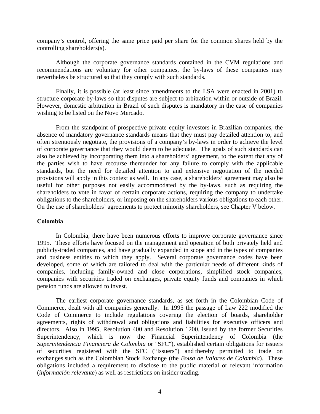company's control, offering the same price paid per share for the common shares held by the controlling shareholders(s).

Although the corporate governance standards contained in the CVM regulations and recommendations are voluntary for other companies, the by-laws of these companies may nevertheless be structured so that they comply with such standards.

Finally, it is possible (at least since amendments to the LSA were enacted in 2001) to structure corporate by-laws so that disputes are subject to arbitration within or outside of Brazil. However, domestic arbitration in Brazil of such disputes is mandatory in the case of companies wishing to be listed on the Novo Mercado.

From the standpoint of prospective private equity investors in Brazilian companies, the absence of mandatory governance standards means that they must pay detailed attention to, and often strenuously negotiate, the provisions of a company's by-laws in order to achieve the level of corporate governance that they would deem to be adequate. The goals of such standards can also be achieved by incorporating them into a shareholders' agreement, to the extent that any of the parties wish to have recourse thereunder for any failure to comply with the applicable standards, but the need for detailed attention to and extensive negotiation of the needed provisions will apply in this context as well. In any case, a shareholders' agreement may also be useful for other purposes not easily accommodated by the by-laws, such as requiring the shareholders to vote in favor of certain corporate actions, requiring the company to undertake obligations to the shareholders, or imposing on the shareholders various obligations to each other. On the use of shareholders' agreements to protect minority shareholders, see Chapter V below.

#### **Colombia**

In Colombia, there have been numerous efforts to improve corporate governance since 1995. These efforts have focused on the management and operation of both privately held and publicly-traded companies, and have gradually expanded in scope and in the types of companies and business entities to which they apply. Several corporate governance codes have been developed, some of which are tailored to deal with the particular needs of different kinds of companies, including family-owned and close corporations, simplified stock companies, companies with securities traded on exchanges, private equity funds and companies in which pension funds are allowed to invest.

The earliest corporate governance standards, as set forth in the Colombian Code of Commerce, dealt with all companies generally. In 1995 the passage of Law 222 modified the Code of Commerce to include regulations covering the election of boards, shareholder agreements, rights of withdrawal and obligations and liabilities for executive officers and directors. Also in 1995, Resolution 400 and Resolution 1200, issued by the former Securities Superintendency, which is now the Financial Superintendency of Colombia (the *Superintendencia Financiera de Colombia* or "SFC"), established certain obligations for issuers of securities registered with the SFC ("Issuers") and thereby permitted to trade on exchanges such as the Colombian Stock Exchange (the *Bolsa de Valores de Colombia*). These obligations included a requirement to disclose to the public material or relevant information (*información relevante*) as well as restrictions on insider trading.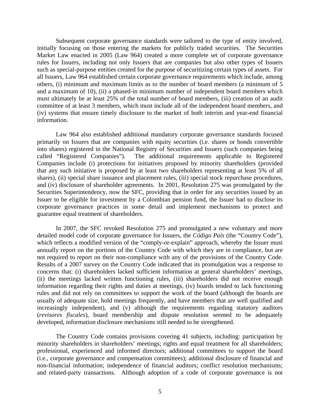Subsequent corporate governance standards were tailored to the type of entity involved, initially focusing on those entering the markets for publicly traded securities. The Securities Market Law enacted in 2005 (Law 964) created a more complete set of corporate governance rules for Issuers, including not only Issuers that are companies but also other types of Issuers such as special-purpose entities created for the purpose of securitizing certain types of assets. For all Issuers, Law 964 established certain corporate governance requirements which include, among others, (i) minimum and maximum limits as to the number of board members (a minimum of 5 and a maximum of 10), (ii) a phased-in minimum number of independent board members which must ultimately be at least 25% of the total number of board members, (iii) creation of an audit committee of at least 3 members, which must include all of the independent board members, and (iv) systems that ensure timely disclosure to the market of both interim and year-end financial information.

Law 964 also established additional mandatory corporate governance standards focused primarily on Issuers that are companies with equity securities (i.e. shares or bonds convertible into shares) registered in the National Registry of Securities and Issuers (such companies being called "Registered Companies"). The additional requirements applicable to Registered Companies include (i) protections for initiatives proposed by minority shareholders (provided that any such initiative is proposed by at least two shareholders representing at least 5% of all shares), (ii) special share issuance and placement rules, (iii) special stock repurchase procedures, and (iv) disclosure of shareholder agreements. In 2001, Resolution 275 was promulgated by the Securities Superintendency, now the SFC, providing that in order for any securities issued by an Issuer to be eligible for investment by a Colombian pension fund, the Issuer had to disclose its corporate governance practices in some detail and implement mechanisms to protect and guarantee equal treatment of shareholders.

In 2007, the SFC revoked Resolution 275 and promulgated a new voluntary and more detailed model code of corporate governance for Issuers, the *Código País* (the "Country Code")*,*  which reflects a modified version of the "comply-or-explain" approach, whereby the Issuer must annually report on the portions of the Country Code with which they are in compliance, but are not required to report on their non-compliance with any of the provisions of the Country Code. Results of a 2007 survey on the Country Code indicated that its promulgation was a response to concerns that: (i) shareholders lacked sufficient information at general shareholders' meetings, (ii) the meetings lacked written functioning rules, (iii) shareholders did not receive enough information regarding their rights and duties at meetings, (iv) boards tended to lack functioning rules and did not rely on committees to support the work of the board (although the boards are usually of adequate size, hold meetings frequently, and have members that are well qualified and increasingly independent), and (v) although the requirements regarding statutory auditors (*revisores fiscales*), board membership and dispute resolution seemed to be adequately developed, information disclosure mechanisms still needed to be strengthened.

The Country Code contains provisions covering 41 subjects, including: participation by minority shareholders in shareholders' meetings; rights and equal treatment for all shareholders; professional, experienced and informed directors; additional committees to support the board (i.e., corporate governance and compensation committees); additional disclosure of financial and non-financial information; independence of financial auditors; conflict resolution mechanisms; and related-party transactions. Although adoption of a code of corporate governance is not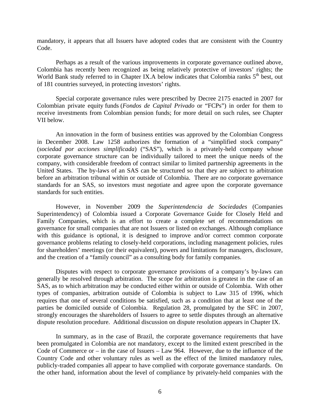mandatory, it appears that all Issuers have adopted codes that are consistent with the Country Code.

Perhaps as a result of the various improvements in corporate governance outlined above, Colombia has recently been recognized as being relatively protective of investors' rights; the World Bank study referred to in Chapter IX.A below indicates that Colombia ranks 5<sup>th</sup> best, out of 181 countries surveyed, in protecting investors' rights.

Special corporate governance rules were prescribed by Decree 2175 enacted in 2007 for Colombian private equity funds (*Fondos de Capital Privado* or "FCPs") in order for them to receive investments from Colombian pension funds; for more detail on such rules, see Chapter VII below.

An innovation in the form of business entities was approved by the Colombian Congress in December 2008. Law 1258 authorizes the formation of a "simplified stock company" (*sociedad por acciones simplificada*) ("SAS"), which is a privately-held company whose corporate governance structure can be individually tailored to meet the unique needs of the company, with considerable freedom of contract similar to limited partnership agreements in the United States. The by-laws of an SAS can be structured so that they are subject to arbitration before an arbitration tribunal within or outside of Colombia. There are no corporate governance standards for an SAS, so investors must negotiate and agree upon the corporate governance standards for such entities.

However, in November 2009 the *Superintendencia de Sociedades* (Companies Superintendency) of Colombia issued a Corporate Governance Guide for Closely Held and Family Companies, which is an effort to create a complete set of recommendations on governance for small companies that are not Issuers or listed on exchanges. Although compliance with this guidance is optional, it is designed to improve and/or correct common corporate governance problems relating to closely-held corporations, including management policies, rules for shareholders' meetings (or their equivalent), powers and limitations for managers, disclosure, and the creation of a "family council" as a consulting body for family companies.

Disputes with respect to corporate governance provisions of a company's by-laws can generally be resolved through arbitration. The scope for arbitration is greatest in the case of an SAS, as to which arbitration may be conducted either within or outside of Colombia. With other types of companies, arbitration outside of Colombia is subject to Law 315 of 1996, which requires that one of several conditions be satisfied, such as a condition that at least one of the parties be domiciled outside of Colombia. Regulation 28, promulgated by the SFC in 2007, strongly encourages the shareholders of Issuers to agree to settle disputes through an alternative dispute resolution procedure. Additional discussion on dispute resolution appears in Chapter IX.

In summary, as in the case of Brazil, the corporate governance requirements that have been promulgated in Colombia are not mandatory, except to the limited extent prescribed in the Code of Commerce or – in the case of Issuers – Law 964. However, due to the influence of the Country Code and other voluntary rules as well as the effect of the limited mandatory rules, publicly-traded companies all appear to have complied with corporate governance standards. On the other hand, information about the level of compliance by privately-held companies with the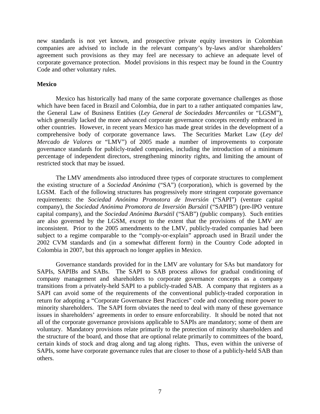new standards is not yet known, and prospective private equity investors in Colombian companies are advised to include in the relevant company's by-laws and/or shareholders' agreement such provisions as they may feel are necessary to achieve an adequate level of corporate governance protection. Model provisions in this respect may be found in the Country Code and other voluntary rules.

#### **Mexico**

 Mexico has historically had many of the same corporate governance challenges as those which have been faced in Brazil and Colombia, due in part to a rather antiquated companies law, the General Law of Business Entities (*Ley General de Sociedades Mercantiles* or "LGSM"), which generally lacked the more advanced corporate governance concepts recently embraced in other countries. However, in recent years Mexico has made great strides in the development of a comprehensive body of corporate governance laws. The Securities Market Law (*Ley del Mercado de Valores* or "LMV") of 2005 made a number of improvements to corporate governance standards for publicly-traded companies, including the introduction of a minimum percentage of independent directors, strengthening minority rights, and limiting the amount of restricted stock that may be issued.

The LMV amendments also introduced three types of corporate structures to complement the existing structure of a *Sociedad Anónima* ("SA") (corporation), which is governed by the LGSM. Each of the following structures has progressively more stringent corporate governance requirements: the *Sociedad Anónima Promotora de Inversión* ("SAPI") (venture capital company), the *Sociedad Anónima Promotora de Inversión Bursátil* ("SAPIB") (pre-IPO venture capital company), and the *Sociedad Anónima Bursátil* ("SAB") (public company). Such entities are also governed by the LGSM, except to the extent that the provisions of the LMV are inconsistent. Prior to the 2005 amendments to the LMV, publicly-traded companies had been subject to a regime comparable to the "comply-or-explain" approach used in Brazil under the 2002 CVM standards and (in a somewhat different form) in the Country Code adopted in Colombia in 2007, but this approach no longer applies in Mexico.

Governance standards provided for in the LMV are voluntary for SAs but mandatory for SAPIs, SAPIBs and SABs. The SAPI to SAB process allows for gradual conditioning of company management and shareholders to corporate governance concepts as a company transitions from a privately-held SAPI to a publicly-traded SAB. A company that registers as a SAPI can avoid some of the requirements of the conventional publicly-traded corporation in return for adopting a "Corporate Governance Best Practices" code and conceding more power to minority shareholders. The SAPI form obviates the need to deal with many of these governance issues in shareholders' agreements in order to ensure enforceability. It should be noted that not all of the corporate governance provisions applicable to SAPIs are mandatory; some of them are voluntary. Mandatory provisions relate primarily to the protection of minority shareholders and the structure of the board, and those that are optional relate primarily to committees of the board, certain kinds of stock and drag along and tag along rights. Thus, even within the universe of SAPIs, some have corporate governance rules that are closer to those of a publicly-held SAB than others.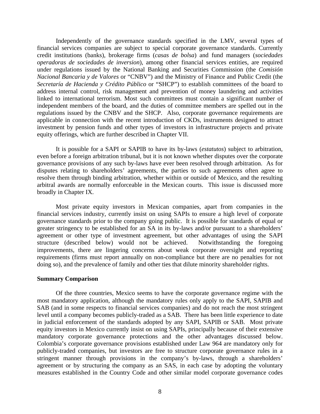Independently of the governance standards specified in the LMV, several types of financial services companies are subject to special corporate governance standards. Currently credit institutions (banks), brokerage firms (*casas de bolsa*) and fund managers (*sociedades operadoras de sociedades de inversion*), among other financial services entities, are required under regulations issued by the National Banking and Securities Commission (the *Comisión Nacional Bancaria y de Valores* or "CNBV") and the Ministry of Finance and Public Credit (the *Secretaría de Hacienda y Crédito Público* or "SHCP") to establish committees of the board to address internal control, risk management and prevention of money laundering and activities linked to international terrorism. Most such committees must contain a significant number of independent members of the board, and the duties of committee members are spelled out in the regulations issued by the CNBV and the SHCP. Also, corporate governance requirements are applicable in connection with the recent introduction of CKDs, instruments designed to attract investment by pension funds and other types of investors in infrastructure projects and private equity offerings, which are further described in Chapter VII.

 It is possible for a SAPI or SAPIB to have its by-laws (*estatutos*) subject to arbitration, even before a foreign arbitration tribunal, but it is not known whether disputes over the corporate governance provisions of any such by-laws have ever been resolved through arbitration. As for disputes relating to shareholders' agreements, the parties to such agreements often agree to resolve them through binding arbitration, whether within or outside of Mexico, and the resulting arbitral awards are normally enforceable in the Mexican courts. This issue is discussed more broadly in Chapter IX.

Most private equity investors in Mexican companies, apart from companies in the financial services industry, currently insist on using SAPIs to ensure a high level of corporate governance standards prior to the company going public. It is possible for standards of equal or greater stringency to be established for an SA in its by-laws and/or pursuant to a shareholders' agreement or other type of investment agreement, but other advantages of using the SAPI structure (described below) would not be achieved. Notwithstanding the foregoing improvements, there are lingering concerns about weak corporate oversight and reporting requirements (firms must report annually on non-compliance but there are no penalties for not doing so), and the prevalence of family and other ties that dilute minority shareholder rights.

#### **Summary Comparison**

 Of the three countries, Mexico seems to have the corporate governance regime with the most mandatory application, although the mandatory rules only apply to the SAPI, SAPIB and SAB (and in some respects to financial services companies) and do not reach the most stringent level until a company becomes publicly-traded as a SAB. There has been little experience to date in judicial enforcement of the standards adopted by any SAPI, SAPIB or SAB. Most private equity investors in Mexico currently insist on using SAPIs, principally because of their extensive mandatory corporate governance protections and the other advantages discussed below. Colombia's corporate governance provisions established under Law 964 are mandatory only for publicly-traded companies, but investors are free to structure corporate governance rules in a stringent manner through provisions in the company's by-laws, through a shareholders' agreement or by structuring the company as an SAS, in each case by adopting the voluntary measures established in the Country Code and other similar model corporate governance codes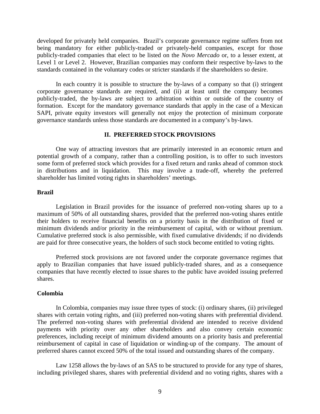developed for privately held companies. Brazil's corporate governance regime suffers from not being mandatory for either publicly-traded or privately-held companies, except for those publicly-traded companies that elect to be listed on the *Novo Mercado* or, to a lesser extent, at Level 1 or Level 2. However, Brazilian companies may conform their respective by-laws to the standards contained in the voluntary codes or stricter standards if the shareholders so desire.

In each country it is possible to structure the by-laws of a company so that (i) stringent corporate governance standards are required, and (ii) at least until the company becomes publicly-traded, the by-laws are subject to arbitration within or outside of the country of formation. Except for the mandatory governance standards that apply in the case of a Mexican SAPI, private equity investors will generally not enjoy the protection of minimum corporate governance standards unless those standards are documented in a company's by-laws.

#### **II. PREFERRED STOCK PROVISIONS**

One way of attracting investors that are primarily interested in an economic return and potential growth of a company, rather than a controlling position, is to offer to such investors some form of preferred stock which provides for a fixed return and ranks ahead of common stock in distributions and in liquidation. This may involve a trade-off, whereby the preferred shareholder has limited voting rights in shareholders' meetings.

#### **Brazil**

Legislation in Brazil provides for the issuance of preferred non-voting shares up to a maximum of 50% of all outstanding shares, provided that the preferred non-voting shares entitle their holders to receive financial benefits on a priority basis in the distribution of fixed or minimum dividends and/or priority in the reimbursement of capital, with or without premium. Cumulative preferred stock is also permissible, with fixed cumulative dividends; if no dividends are paid for three consecutive years, the holders of such stock become entitled to voting rights.

Preferred stock provisions are not favored under the corporate governance regimes that apply to Brazilian companies that have issued publicly-traded shares, and as a consequence companies that have recently elected to issue shares to the public have avoided issuing preferred shares.

## **Colombia**

In Colombia, companies may issue three types of stock: (i) ordinary shares, (ii) privileged shares with certain voting rights, and (iii) preferred non-voting shares with preferential dividend. The preferred non-voting shares with preferential dividend are intended to receive dividend payments with priority over any other shareholders and also convey certain economic preferences, including receipt of minimum dividend amounts on a priority basis and preferential reimbursement of capital in case of liquidation or winding-up of the company. The amount of preferred shares cannot exceed 50% of the total issued and outstanding shares of the company.

Law 1258 allows the by-laws of an SAS to be structured to provide for any type of shares, including privileged shares, shares with preferential dividend and no voting rights, shares with a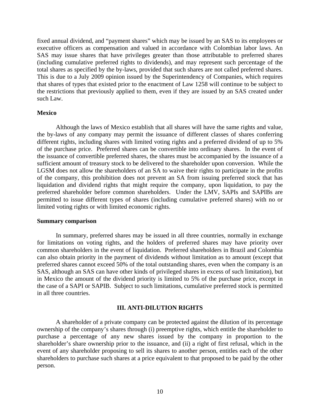fixed annual dividend, and "payment shares" which may be issued by an SAS to its employees or executive officers as compensation and valued in accordance with Colombian labor laws. An SAS may issue shares that have privileges greater than those attributable to preferred shares (including cumulative preferred rights to dividends), and may represent such percentage of the total shares as specified by the by-laws, provided that such shares are not called preferred shares. This is due to a July 2009 opinion issued by the Superintendency of Companies, which requires that shares of types that existed prior to the enactment of Law 1258 will continue to be subject to the restrictions that previously applied to them, even if they are issued by an SAS created under such Law.

#### **Mexico**

Although the laws of Mexico establish that all shares will have the same rights and value, the by-laws of any company may permit the issuance of different classes of shares conferring different rights, including shares with limited voting rights and a preferred dividend of up to 5% of the purchase price. Preferred shares can be convertible into ordinary shares. In the event of the issuance of convertible preferred shares, the shares must be accompanied by the issuance of a sufficient amount of treasury stock to be delivered to the shareholder upon conversion. While the LGSM does not allow the shareholders of an SA to waive their rights to participate in the profits of the company, this prohibition does not prevent an SA from issuing preferred stock that has liquidation and dividend rights that might require the company, upon liquidation, to pay the preferred shareholder before common shareholders. Under the LMV, SAPIs and SAPIBs are permitted to issue different types of shares (including cumulative preferred shares) with no or limited voting rights or with limited economic rights.

#### **Summary comparison**

In summary, preferred shares may be issued in all three countries, normally in exchange for limitations on voting rights, and the holders of preferred shares may have priority over common shareholders in the event of liquidation. Preferred shareholders in Brazil and Colombia can also obtain priority in the payment of dividends without limitation as to amount (except that preferred shares cannot exceed 50% of the total outstanding shares, even when the company is an SAS, although an SAS can have other kinds of privileged shares in excess of such limitation), but in Mexico the amount of the dividend priority is limited to 5% of the purchase price, except in the case of a SAPI or SAPIB. Subject to such limitations, cumulative preferred stock is permitted in all three countries.

## **III. ANTI-DILUTION RIGHTS**

A shareholder of a private company can be protected against the dilution of its percentage ownership of the company's shares through (i) preemptive rights, which entitle the shareholder to purchase a percentage of any new shares issued by the company in proportion to the shareholder's share ownership prior to the issuance, and (ii) a right of first refusal, which in the event of any shareholder proposing to sell its shares to another person, entitles each of the other shareholders to purchase such shares at a price equivalent to that proposed to be paid by the other person.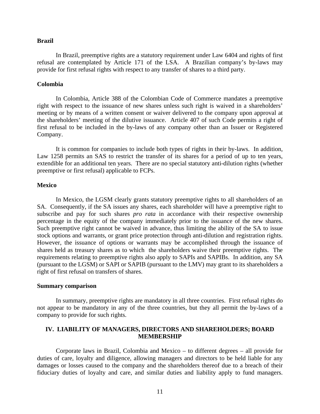#### **Brazil**

In Brazil, preemptive rights are a statutory requirement under Law 6404 and rights of first refusal are contemplated by Article 171 of the LSA. A Brazilian company's by-laws may provide for first refusal rights with respect to any transfer of shares to a third party.

#### **Colombia**

In Colombia, Article 388 of the Colombian Code of Commerce mandates a preemptive right with respect to the issuance of new shares unless such right is waived in a shareholders' meeting or by means of a written consent or waiver delivered to the company upon approval at the shareholders' meeting of the dilutive issuance. Article 407 of such Code permits a right of first refusal to be included in the by-laws of any company other than an Issuer or Registered Company.

It is common for companies to include both types of rights in their by-laws. In addition, Law 1258 permits an SAS to restrict the transfer of its shares for a period of up to ten years, extendible for an additional ten years. There are no special statutory anti-dilution rights (whether preemptive or first refusal) applicable to FCPs.

#### **Mexico**

In Mexico, the LGSM clearly grants statutory preemptive rights to all shareholders of an SA. Consequently, if the SA issues any shares, each shareholder will have a preemptive right to subscribe and pay for such shares *pro rata* in accordance with their respective ownership percentage in the equity of the company immediately prior to the issuance of the new shares. Such preemptive right cannot be waived in advance, thus limiting the ability of the SA to issue stock options and warrants, or grant price protection through anti-dilution and registration rights. However, the issuance of options or warrants may be accomplished through the issuance of shares held as treasury shares as to which the shareholders waive their preemptive rights. The requirements relating to preemptive rights also apply to SAPIs and SAPIBs. In addition, any SA (pursuant to the LGSM) or SAPI or SAPIB (pursuant to the LMV) may grant to its shareholders a right of first refusal on transfers of shares.

#### **Summary comparison**

In summary, preemptive rights are mandatory in all three countries. First refusal rights do not appear to be mandatory in any of the three countries, but they all permit the by-laws of a company to provide for such rights.

## **IV. LIABILITY OF MANAGERS, DIRECTORS AND SHAREHOLDERS; BOARD MEMBERSHIP**

 Corporate laws in Brazil, Colombia and Mexico – to different degrees – all provide for duties of care, loyalty and diligence, allowing managers and directors to be held liable for any damages or losses caused to the company and the shareholders thereof due to a breach of their fiduciary duties of loyalty and care, and similar duties and liability apply to fund managers.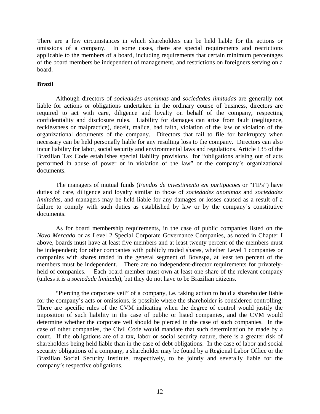There are a few circumstances in which shareholders can be held liable for the actions or omissions of a company.In some cases, there are special requirements and restrictions applicable to the members of a board, including requirements that certain minimum percentages of the board members be independent of management, and restrictions on foreigners serving on a board.

## **Brazil**

Although directors of *sociedades anonimas* and *sociedades limitadas* are generally not liable for actions or obligations undertaken in the ordinary course of business, directors are required to act with care, diligence and loyalty on behalf of the company, respecting confidentiality and disclosure rules. Liability for damages can arise from fault (negligence, recklessness or malpractice), deceit, malice, bad faith, violation of the law or violation of the organizational documents of the company. Directors that fail to file for bankruptcy when necessary can be held personally liable for any resulting loss to the company. Directors can also incur liability for labor, social security and environmental laws and regulations. Article 135 of the Brazilian Tax Code establishes special liability provisions for "obligations arising out of acts performed in abuse of power or in violation of the law" or the company's organizational documents.

The managers of mutual funds (*Fundos de investimento em partipacoes* or "FIPs") have duties of care, diligence and loyalty similar to those of *sociedades anonimas* and *sociedades limitadas*, and managers may be held liable for any damages or losses caused as a result of a failure to comply with such duties as established by law or by the company's constitutive documents.

As for board membership requirements, in the case of public companies listed on the *Novo Mercado* or as Level 2 Special Corporate Governance Companies, as noted in Chapter I above, boards must have at least five members and at least twenty percent of the members must be independent; for other companies with publicly traded shares, whether Level 1 companies or companies with shares traded in the general segment of Bovespa, at least ten percent of the members must be independent. There are no independent-director requirements for privatelyheld of companies. Each board member must own at least one share of the relevant company (unless it is a *sociedade limitada*), but they do not have to be Brazilian citizens.

"Piercing the corporate veil" of a company, i.e. taking action to hold a shareholder liable for the company's acts or omissions, is possible where the shareholder is considered controlling. There are specific rules of the CVM indicating when the degree of control would justify the imposition of such liability in the case of public or listed companies, and the CVM would determine whether the corporate veil should be pierced in the case of such companies. In the case of other companies, the Civil Code would mandate that such determination be made by a court. If the obligations are of a tax, labor or social security nature, there is a greater risk of shareholders being held liable than in the case of debt obligations. In the case of labor and social security obligations of a company, a shareholder may be found by a Regional Labor Office or the Brazilian Social Security Institute, respectively, to be jointly and severally liable for the company's respective obligations.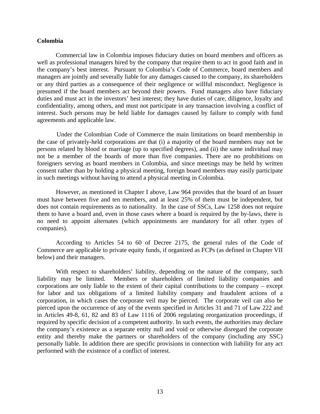## **Colombia**

Commercial law in Colombia imposes fiduciary duties on board members and officers as well as professional managers hired by the company that require them to act in good faith and in the company's best interest. Pursuant to Colombia's Code of Commerce, board members and managers are jointly and severally liable for any damages caused to the company, its shareholders or any third parties as a consequence of their negligence or willful misconduct. Negligence is presumed if the board members act beyond their powers. Fund managers also have fiduciary duties and must act in the investors' best interest; they have duties of care, diligence, loyalty and confidentiality, among others, and must not participate in any transaction involving a conflict of interest. Such persons may be held liable for damages caused by failure to comply with fund agreements and applicable law.

 Under the Colombian Code of Commerce the main limitations on board membership in the case of privately-held corporations are that (i) a majority of the board members may not be persons related by blood or marriage (up to specified degrees), and (ii) the same individual may not be a member of the boards of more than five companies. There are no prohibitions on foreigners serving as board members in Colombia, and since meetings may be held by written consent rather than by holding a physical meeting, foreign board members may easily participate in such meetings without having to attend a physical meeting in Colombia.

However, as mentioned in Chapter I above, Law 964 provides that the board of an Issuer must have between five and ten members, and at least 25% of them must be independent, but does not contain requirements as to nationality. In the case of SSCs, Law 1258 does not require them to have a board and, even in those cases where a board is required by the by-laws, there is no need to appoint alternates (which appointments are mandatory for all other types of companies).

According to Articles 54 to 60 of Decree 2175, the general rules of the Code of Commerce are applicable to private equity funds, if organized as FCPs (as defined in Chapter VII below) and their managers.

With respect to shareholders' liability, depending on the nature of the company, such liability may be limited. Members or shareholders of limited liability companies and corporations are only liable to the extent of their capital contributions to the company – except for labor and tax obligations of a limited liability company and fraudulent actions of a corporation, in which cases the corporate veil may be pierced. The corporate veil can also be pierced upon the occurrence of any of the events specified in Articles 31 and 71 of Law 222 and in Articles 49-8, 61, 82 and 83 of Law 1116 of 2006 regulating reorganization proceedings, if required by specific decision of a competent authority. In such events, the authorities may declare the company's existence as a separate entity null and void or otherwise disregard the corporate entity and thereby make the partners or shareholders of the company (including any SSC) personally liable. In addition there are specific provisions in connection with liability for any act performed with the existence of a conflict of interest.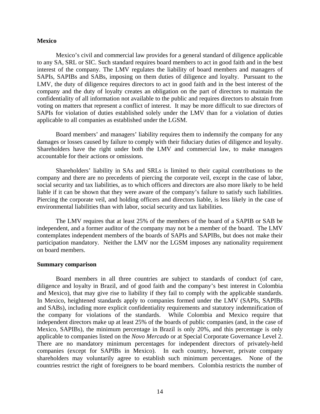#### **Mexico**

Mexico's civil and commercial law provides for a general standard of diligence applicable to any SA, SRL or SIC. Such standard requires board members to act in good faith and in the best interest of the company. The LMV regulates the liability of board members and managers of SAPIs, SAPIBs and SABs, imposing on them duties of diligence and loyalty. Pursuant to the LMV, the duty of diligence requires directors to act in good faith and in the best interest of the company and the duty of loyalty creates an obligation on the part of directors to maintain the confidentiality of all information not available to the public and requires directors to abstain from voting on matters that represent a conflict of interest. It may be more difficult to sue directors of SAPIs for violation of duties established solely under the LMV than for a violation of duties applicable to all companies as established under the LGSM.

Board members' and managers' liability requires them to indemnify the company for any damages or losses caused by failure to comply with their fiduciary duties of diligence and loyalty. Shareholders have the right under both the LMV and commercial law, to make managers accountable for their actions or omissions.

Shareholders' liability in SAs and SRLs is limited to their capital contributions to the company and there are no precedents of piercing the corporate veil, except in the case of labor, social security and tax liabilities, as to which officers and directors are also more likely to be held liable if it can be shown that they were aware of the company's failure to satisfy such liabilities. Piercing the corporate veil, and holding officers and directors liable, is less likely in the case of environmental liabilities than with labor, social security and tax liabilities.

The LMV requires that at least 25% of the members of the board of a SAPIB or SAB be independent, and a former auditor of the company may not be a member of the board. The LMV contemplates independent members of the boards of SAPIs and SAPIBs, but does not make their participation mandatory. Neither the LMV nor the LGSM imposes any nationality requirement on board members.

## **Summary comparison**

 Board members in all three countries are subject to standards of conduct (of care, diligence and loyalty in Brazil, and of good faith and the company's best interest in Colombia and Mexico), that may give rise to liability if they fail to comply with the applicable standards. In Mexico, heightened standards apply to companies formed under the LMV (SAPIs, SAPIBs and SABs), including more explicit confidentiality requirements and statutory indemnification of the company for violations of the standards. While Colombia and Mexico require that independent directors make up at least 25% of the boards of public companies (and, in the case of Mexico, SAPIBs), the minimum percentage in Brazil is only 20%, and this percentage is only applicable to companies listed on the *Novo Mercado* or at Special Corporate Governance Level 2. There are no mandatory minimum percentages for independent directors of privately-held companies (except for SAPIBs in Mexico). In each country, however, private company shareholders may voluntarily agree to establish such minimum percentages. None of the countries restrict the right of foreigners to be board members. Colombia restricts the number of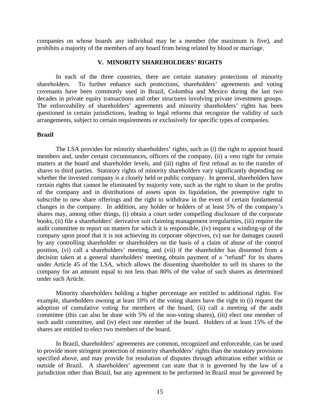companies on whose boards any individual may be a member (the maximum is five), and prohibits a majority of the members of any board from being related by blood or marriage.

#### **V. MINORITY SHAREHOLDERS' RIGHTS**

 In each of the three countries, there are certain statutory protections of minority shareholders. To further enhance such protections, shareholders' agreements and voting covenants have been commonly used in Brazil, Colombia and Mexico during the last two decades in private equity transactions and other structures involving private investment groups. The enforceability of shareholders' agreements and minority shareholders' rights has been questioned in certain jurisdictions, leading to legal reforms that recognize the validity of such arrangements, subject to certain requirements or exclusively for specific types of companies.

#### **Brazil**

 The LSA provides for minority shareholders' rights, such as (i) the right to appoint board members and, under certain circumstances, officers of the company, (ii) a veto right for certain matters at the board and shareholder levels, and (iii) rights of first refusal as to the transfer of shares to third parties. Statutory rights of minority shareholders vary significantly depending on whether the invested company is a closely held or public company. In general, shareholders have certain rights that cannot be eliminated by majority vote, such as the right to share in the profits of the company and in distributions of assets upon its liquidation, the preemptive right to subscribe to new share offerings and the right to withdraw in the event of certain fundamental changes in the company. In addition, any holder or holders of at least 5% of the company's shares may, among other things, (i) obtain a court order compelling disclosure of the corporate books, (ii) file a shareholders' derivative suit claiming management irregularities, (iii) require the audit committee to report on matters for which it is responsible, (iv) request a winding-up of the company upon proof that it is not achieving its corporate objectives, (v) sue for damages caused by any controlling shareholder or shareholders on the basis of a claim of abuse of the control position, (vi) call a shareholders' meeting, and (vii) if the shareholder has dissented from a decision taken at a general shareholders' meeting, obtain payment of a "refund" for its shares under Article 45 of the LSA, which allows the dissenting shareholder to sell its shares to the company for an amount equal to not less than 80% of the value of such shares as determined under such Article.

 Minority shareholders holding a higher percentage are entitled to additional rights. For example, shareholders owning at least 10% of the voting shares have the right to (i) request the adoption of cumulative voting for members of the board, (ii) call a meeting of the audit committee (this can also be done with 5% of the non-voting shares), (iii) elect one member of such audit committee, and (iv) elect one member of the board. Holders of at least 15% of the shares are entitled to elect two members of the board.

 In Brazil, shareholders' agreements are common, recognized and enforceable, can be used to provide more stringent protection of minority shareholders' rights than the statutory provisions specified above, and may provide for resolution of disputes through arbitration either within or outside of Brazil. A shareholders' agreement can state that it is governed by the law of a jurisdiction other than Brazil, but any agreement to be performed in Brazil must be governed by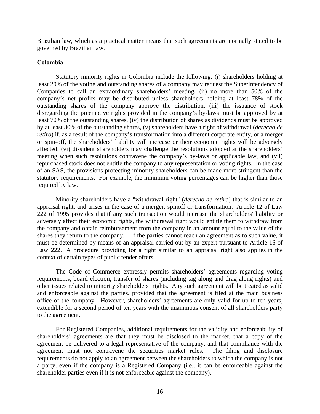Brazilian law, which as a practical matter means that such agreements are normally stated to be governed by Brazilian law.

#### **Colombia**

Statutory minority rights in Colombia include the following: (i) shareholders holding at least 20% of the voting and outstanding shares of a company may request the Superintendency of Companies to call an extraordinary shareholders' meeting, (ii) no more than 50% of the company's net profits may be distributed unless shareholders holding at least 78% of the outstanding shares of the company approve the distribution, (iii) the issuance of stock disregarding the preemptive rights provided in the company's by-laws must be approved by at least 70% of the outstanding shares, (iv) the distribution of shares as dividends must be approved by at least 80% of the outstanding shares, (v) shareholders have a right of withdrawal (*derecho de retiro*) if, as a result of the company's transformation into a different corporate entity, or a merger or spin-off, the shareholders' liability will increase or their economic rights will be adversely affected, (vi) dissident shareholders may challenge the resolutions adopted at the shareholders' meeting when such resolutions contravene the company's by-laws or applicable law, and (vii) repurchased stock does not entitle the company to any representation or voting rights. In the case of an SAS, the provisions protecting minority shareholders can be made more stringent than the statutory requirements. For example, the minimum voting percentages can be higher than those required by law.

Minority shareholders have a "withdrawal right" (*derecho de retiro*) that is similar to an appraisal right, and arises in the case of a merger, spinoff or transformation. Article 12 of Law 222 of 1995 provides that if any such transaction would increase the shareholders' liability or adversely affect their economic rights, the withdrawal right would entitle them to withdraw from the company and obtain reimbursement from the company in an amount equal to the value of the shares they return to the company. If the parties cannot reach an agreement as to such value, it must be determined by means of an appraisal carried out by an expert pursuant to Article 16 of Law 222. A procedure providing for a right similar to an appraisal right also applies in the context of certain types of public tender offers.

The Code of Commerce expressly permits shareholders' agreements regarding voting requirements, board election, transfer of shares (including tag along and drag along rights) and other issues related to minority shareholders' rights. Any such agreement will be treated as valid and enforceable against the parties, provided that the agreement is filed at the main business office of the company. However, shareholders' agreements are only valid for up to ten years, extendible for a second period of ten years with the unanimous consent of all shareholders party to the agreement.

For Registered Companies, additional requirements for the validity and enforceability of shareholders' agreements are that they must be disclosed to the market, that a copy of the agreement be delivered to a legal representative of the company, and that compliance with the agreement must not contravene the securities market rules. The filing and disclosure requirements do not apply to an agreement between the shareholders to which the company is not a party, even if the company is a Registered Company (i.e., it can be enforceable against the shareholder parties even if it is not enforceable against the company).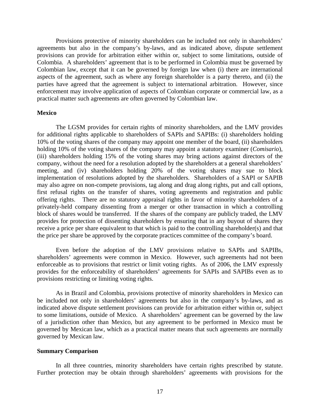Provisions protective of minority shareholders can be included not only in shareholders' agreements but also in the company's by-laws, and as indicated above, dispute settlement provisions can provide for arbitration either within or, subject to some limitations, outside of Colombia. A shareholders' agreement that is to be performed in Colombia must be governed by Colombian law, except that it can be governed by foreign law when (i) there are international aspects of the agreement, such as where any foreign shareholder is a party thereto, and (ii) the parties have agreed that the agreement is subject to international arbitration. However, since enforcement may involve application of aspects of Colombian corporate or commercial law, as a practical matter such agreements are often governed by Colombian law.

#### **Mexico**

The LGSM provides for certain rights of minority shareholders, and the LMV provides for additional rights applicable to shareholders of SAPIs and SAPIBs: (i) shareholders holding 10% of the voting shares of the company may appoint one member of the board, (ii) shareholders holding 10% of the voting shares of the company may appoint a statutory examiner (*Comisario*), (iii) shareholders holding 15% of the voting shares may bring actions against directors of the company, without the need for a resolution adopted by the shareholders at a general shareholders' meeting, and (iv) shareholders holding 20% of the voting shares may sue to block implementation of resolutions adopted by the shareholders. Shareholders of a SAPI or SAPIB may also agree on non-compete provisions, tag along and drag along rights, put and call options, first refusal rights on the transfer of shares, voting agreements and registration and public offering rights. There are no statutory appraisal rights in favor of minority shareholders of a privately-held company dissenting from a merger or other transaction in which a controlling block of shares would be transferred. If the shares of the company are publicly traded, the LMV provides for protection of dissenting shareholders by ensuring that in any buyout of shares they receive a price per share equivalent to that which is paid to the controlling shareholder(s) and that the price per share be approved by the corporate practices committee of the company's board.

Even before the adoption of the LMV provisions relative to SAPIs and SAPIBs, shareholders' agreements were common in Mexico. However, such agreements had not been enforceable as to provisions that restrict or limit voting rights. As of 2006, the LMV expressly provides for the enforceability of shareholders' agreements for SAPIs and SAPIBs even as to provisions restricting or limiting voting rights.

As in Brazil and Colombia, provisions protective of minority shareholders in Mexico can be included not only in shareholders' agreements but also in the company's by-laws, and as indicated above dispute settlement provisions can provide for arbitration either within or, subject to some limitations, outside of Mexico. A shareholders' agreement can be governed by the law of a jurisdiction other than Mexico, but any agreement to be performed in Mexico must be governed by Mexican law, which as a practical matter means that such agreements are normally governed by Mexican law.

#### **Summary Comparison**

In all three countries, minority shareholders have certain rights prescribed by statute. Further protection may be obtain through shareholders' agreements with provisions for the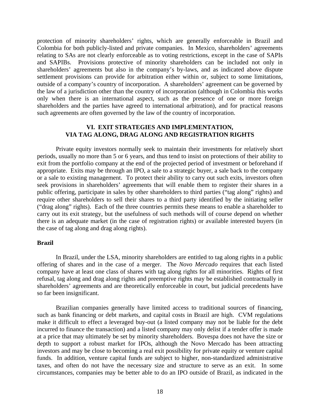protection of minority shareholders' rights, which are generally enforceable in Brazil and Colombia for both publicly-listed and private companies. In Mexico, shareholders' agreements relating to SAs are not clearly enforceable as to voting restrictions, except in the case of SAPIs and SAPIBs. Provisions protective of minority shareholders can be included not only in shareholders' agreements but also in the company's by-laws, and as indicated above dispute settlement provisions can provide for arbitration either within or, subject to some limitations, outside of a company's country of incorporation. A shareholders' agreement can be governed by the law of a jurisdiction other than the country of incorporation (although in Colombia this works only when there is an international aspect, such as the presence of one or more foreign shareholders and the parties have agreed to international arbitration), and for practical reasons such agreements are often governed by the law of the country of incorporation.

## **VI. EXIT STRATEGIES AND IMPLEMENTATION, VIA TAG ALONG, DRAG ALONG AND REGISTRATION RIGHTS**

Private equity investors normally seek to maintain their investments for relatively short periods, usually no more than 5 or 6 years, and thus tend to insist on protections of their ability to exit from the portfolio company at the end of the projected period of investment or beforehand if appropriate. Exits may be through an IPO, a sale to a strategic buyer, a sale back to the company or a sale to existing management. To protect their ability to carry out such exits, investors often seek provisions in shareholders' agreements that will enable them to register their shares in a public offering, participate in sales by other shareholders to third parties ("tag along" rights) and require other shareholders to sell their shares to a third party identified by the initiating seller ("drag along" rights). Each of the three countries permits these means to enable a shareholder to carry out its exit strategy, but the usefulness of such methods will of course depend on whether there is an adequate market (in the case of registration rights) or available interested buyers (in the case of tag along and drag along rights).

#### **Brazil**

 In Brazil, under the LSA, minority shareholders are entitled to tag along rights in a public offering of shares and in the case of a merger. The *Novo Mercado* requires that each listed company have at least one class of shares with tag along rights for all minorities. Rights of first refusal, tag along and drag along rights and preemptive rights may be established contractually in shareholders' agreements and are theoretically enforceable in court, but judicial precedents have so far been insignificant.

Brazilian companies generally have limited access to traditional sources of financing, such as bank financing or debt markets, and capital costs in Brazil are high. CVM regulations make it difficult to effect a leveraged buy-out (a listed company may not be liable for the debt incurred to finance the transaction) and a listed company may only delist if a tender offer is made at a price that may ultimately be set by minority shareholders. Bovespa does not have the size or depth to support a robust market for IPOs, although the Novo Mercado has been attracting investors and may be close to becoming a real exit possibility for private equity or venture capital funds. In addition, venture capital funds are subject to higher, non-standardized administrative taxes, and often do not have the necessary size and structure to serve as an exit. In some circumstances, companies may be better able to do an IPO outside of Brazil, as indicated in the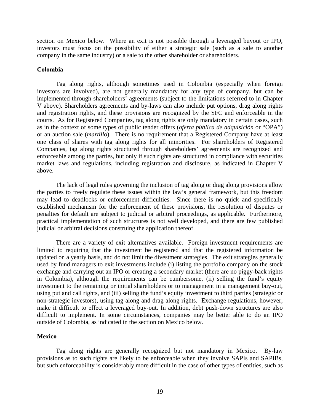section on Mexico below. Where an exit is not possible through a leveraged buyout or IPO, investors must focus on the possibility of either a strategic sale (such as a sale to another company in the same industry) or a sale to the other shareholder or shareholders.

## **Colombia**

Tag along rights, although sometimes used in Colombia (especially when foreign investors are involved), are not generally mandatory for any type of company, but can be implemented through shareholders' agreements (subject to the limitations referred to in Chapter V above). Shareholders agreements and by-laws can also include put options, drag along rights and registration rights, and these provisions are recognized by the SFC and enforceable in the courts. As for Registered Companies, tag along rights are only mandatory in certain cases, such as in the context of some types of public tender offers (*oferta pública de adquisición* or "OPA") or an auction sale (*martillo*). There is no requirement that a Registered Company have at least one class of shares with tag along rights for all minorities. For shareholders of Registered Companies, tag along rights structured through shareholders' agreements are recognized and enforceable among the parties, but only if such rights are structured in compliance with securities market laws and regulations, including registration and disclosure, as indicated in Chapter V above.

The lack of legal rules governing the inclusion of tag along or drag along provisions allow the parties to freely regulate these issues within the law's general framework, but this freedom may lead to deadlocks or enforcement difficulties. Since there is no quick and specifically established mechanism for the enforcement of these provisions, the resolution of disputes or penalties for default are subject to judicial or arbitral proceedings, as applicable. Furthermore, practical implementation of such structures is not well developed, and there are few published judicial or arbitral decisions construing the application thereof.

There are a variety of exit alternatives available. Foreign investment requirements are limited to requiring that the investment be registered and that the registered information be updated on a yearly basis, and do not limit the divestment strategies. The exit strategies generally used by fund managers to exit investments include (i) listing the portfolio company on the stock exchange and carrying out an IPO or creating a secondary market (there are no piggy-back rights in Colombia), although the requirements can be cumbersome, (ii) selling the fund's equity investment to the remaining or initial shareholders or to management in a management buy-out, using put and call rights, and (iii) selling the fund's equity investment to third parties (strategic or non-strategic investors), using tag along and drag along rights. Exchange regulations, however, make it difficult to effect a leveraged buy-out. In addition, debt push-down structures are also difficult to implement. In some circumstances, companies may be better able to do an IPO outside of Colombia, as indicated in the section on Mexico below.

## **Mexico**

Tag along rights are generally recognized but not mandatory in Mexico. By-law provisions as to such rights are likely to be enforceable when they involve SAPIs and SAPIBs, but such enforceability is considerably more difficult in the case of other types of entities, such as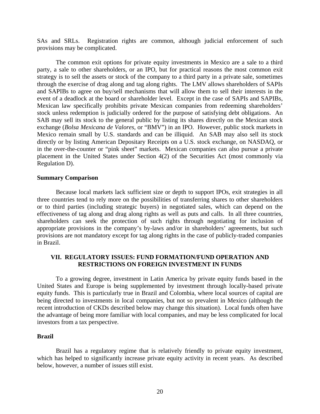SAs and SRLs. Registration rights are common, although judicial enforcement of such provisions may be complicated.

The common exit options for private equity investments in Mexico are a sale to a third party, a sale to other shareholders, or an IPO, but for practical reasons the most common exit strategy is to sell the assets or stock of the company to a third party in a private sale, sometimes through the exercise of drag along and tag along rights. The LMV allows shareholders of SAPIs and SAPIBs to agree on buy/sell mechanisms that will allow them to sell their interests in the event of a deadlock at the board or shareholder level. Except in the case of SAPIs and SAPIBs, Mexican law specifically prohibits private Mexican companies from redeeming shareholders' stock unless redemption is judicially ordered for the purpose of satisfying debt obligations. An SAB may sell its stock to the general public by listing its shares directly on the Mexican stock exchange (*Bolsa Mexicana de Valores*, or "BMV") in an IPO. However, public stock markets in Mexico remain small by U.S. standards and can be illiquid. An SAB may also sell its stock directly or by listing American Depositary Receipts on a U.S. stock exchange, on NASDAQ, or in the over-the-counter or "pink sheet" markets. Mexican companies can also pursue a private placement in the United States under Section 4(2) of the Securities Act (most commonly via Regulation D).

#### **Summary Comparison**

Because local markets lack sufficient size or depth to support IPOs, exit strategies in all three countries tend to rely more on the possibilities of transferring shares to other shareholders or to third parties (including strategic buyers) in negotiated sales, which can depend on the effectiveness of tag along and drag along rights as well as puts and calls. In all three countries, shareholders can seek the protection of such rights through negotiating for inclusion of appropriate provisions in the company's by-laws and/or in shareholders' agreements, but such provisions are not mandatory except for tag along rights in the case of publicly-traded companies in Brazil.

# **VII. REGULATORY ISSUES: FUND FORMATION/FUND OPERATION AND RESTRICTIONS ON FOREIGN INVESTMENT IN FUNDS**

 To a growing degree, investment in Latin America by private equity funds based in the United States and Europe is being supplemented by investment through locally-based private equity funds. This is particularly true in Brazil and Colombia, where local sources of capital are being directed to investments in local companies, but not so prevalent in Mexico (although the recent introduction of CKDs described below may change this situation). Local funds often have the advantage of being more familiar with local companies, and may be less complicated for local investors from a tax perspective.

## **Brazil**

Brazil has a regulatory regime that is relatively friendly to private equity investment, which has helped to significantly increase private equity activity in recent years. As described below, however, a number of issues still exist.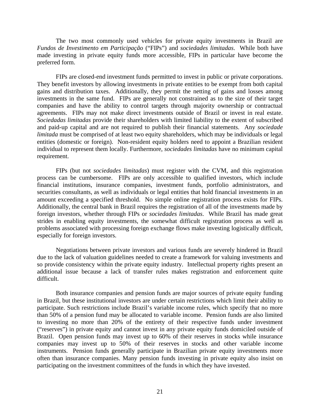The two most commonly used vehicles for private equity investments in Brazil are *Fundos de Investimento em Participação* ("FIPs") and *sociedades limitadas*. While both have made investing in private equity funds more accessible, FIPs in particular have become the preferred form.

FIPs are closed-end investment funds permitted to invest in public or private corporations. They benefit investors by allowing investments in private entities to be exempt from both capital gains and distribution taxes. Additionally, they permit the netting of gains and losses among investments in the same fund. FIPs are generally not constrained as to the size of their target companies and have the ability to control targets through majority ownership or contractual agreements. FIPs may not make direct investments outside of Brazil or invest in real estate. *Sociedadas limitadas* provide their shareholders with limited liability to the extent of subscribed and paid-up capital and are not required to publish their financial statements. Any *sociedade limitada* must be comprised of at least two equity shareholders, which may be individuals or legal entities (domestic or foreign). Non-resident equity holders need to appoint a Brazilian resident individual to represent them locally. Furthermore, *sociedades limitadas* have no minimum capital requirement.

FIPs (but not *sociedades limitadas*) must register with the CVM, and this registration process can be cumbersome. FIPs are only accessible to qualified investors, which include financial institutions, insurance companies, investment funds, portfolio administrators, and securities consultants, as well as individuals or legal entities that hold financial investments in an amount exceeding a specified threshold. No simple online registration process exists for FIPs. Additionally, the central bank in Brazil requires the registration of all of the investments made by foreign investors, whether through FIPs or *sociedades limitadas*. While Brazil has made great strides in enabling equity investments, the somewhat difficult registration process as well as problems associated with processing foreign exchange flows make investing logistically difficult, especially for foreign investors.

Negotiations between private investors and various funds are severely hindered in Brazil due to the lack of valuation guidelines needed to create a framework for valuing investments and so provide consistency within the private equity industry. Intellectual property rights present an additional issue because a lack of transfer rules makes registration and enforcement quite difficult.

Both insurance companies and pension funds are major sources of private equity funding in Brazil, but these institutional investors are under certain restrictions which limit their ability to participate. Such restrictions include Brazil's variable income rules, which specify that no more than 50% of a pension fund may be allocated to variable income. Pension funds are also limited to investing no more than 20% of the entirety of their respective funds under investment ("reserves") in private equity and cannot invest in any private equity funds domiciled outside of Brazil. Open pension funds may invest up to 60% of their reserves in stocks while insurance companies may invest up to 50% of their reserves in stocks and other variable income instruments. Pension funds generally participate in Brazilian private equity investments more often than insurance companies. Many pension funds investing in private equity also insist on participating on the investment committees of the funds in which they have invested.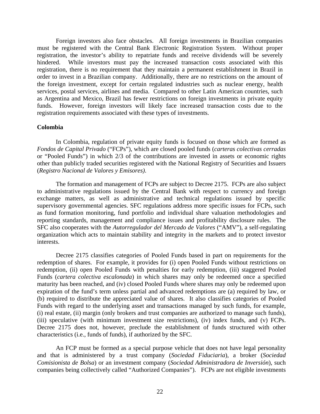Foreign investors also face obstacles. All foreign investments in Brazilian companies must be registered with the Central Bank Electronic Registration System. Without proper registration, the investor's ability to repatriate funds and receive dividends will be severely hindered. While investors must pay the increased transaction costs associated with this registration, there is no requirement that they maintain a permanent establishment in Brazil in order to invest in a Brazilian company. Additionally, there are no restrictions on the amount of the foreign investment, except for certain regulated industries such as nuclear energy, health services, postal services, airlines and media. Compared to other Latin American countries, such as Argentina and Mexico, Brazil has fewer restrictions on foreign investments in private equity funds. However, foreign investors will likely face increased transaction costs due to the registration requirements associated with these types of investments.

#### **Colombia**

In Colombia, regulation of private equity funds is focused on those which are formed as *Fondos de Capital Privado* ("FCPs"), which are closed pooled funds (*carteras colectivas cerradas* or "Pooled Funds") in which 2/3 of the contributions are invested in assets or economic rights other than publicly traded securities registered with the National Registry of Securities and Issuers (*Registro Nacional de Valores y Emisores)*.

The formation and management of FCPs are subject to Decree 2175. FCPs are also subject to administrative regulations issued by the Central Bank with respect to currency and foreign exchange matters, as well as administrative and technical regulations issued by specific supervisory governmental agencies. SFC regulations address more specific issues for FCPs, such as fund formation monitoring, fund portfolio and individual share valuation methodologies and reporting standards, management and compliance issues and profitability disclosure rules. The SFC also cooperates with the *Autorregulador del Mercado de Valores* ("AMV"), a self-regulating organization which acts to maintain stability and integrity in the markets and to protect investor interests.

Decree 2175 classifies categories of Pooled Funds based in part on requirements for the redemption of shares. For example, it provides for (i) open Pooled Funds without restrictions on redemption, (ii) open Pooled Funds with penalties for early redemption, (iii) staggered Pooled Funds (*cartera colectiva escalonada*) in which shares may only be redeemed once a specified maturity has been reached, and (iv) closed Pooled Funds where shares may only be redeemed upon expiration of the fund's term unless partial and advanced redemptions are (a) required by law, or (b) required to distribute the appreciated value of shares. It also classifies categories of Pooled Funds with regard to the underlying asset and transactions managed by such funds, for example, (i) real estate, (ii) margin (only brokers and trust companies are authorized to manage such funds), (iii) speculative (with minimum investment size restrictions), (iv) index funds, and (v) FCPs. Decree 2175 does not, however, preclude the establishment of funds structured with other characteristics (i.e., funds of funds), if authorized by the SFC.

An FCP must be formed as a special purpose vehicle that does not have legal personality and that is administered by a trust company (*Sociedad Fiduciaria*), a broker (*Sociedad Comisionista de Bolsa*) or an investment company (*Sociedad Administradora de Inversión*), such companies being collectively called "Authorized Companies"). FCPs are not eligible investments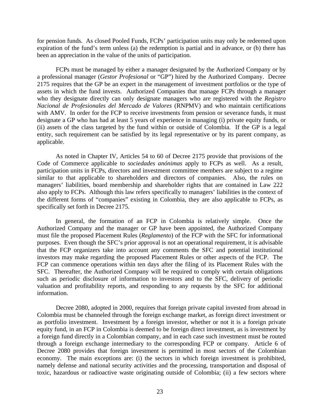for pension funds. As closed Pooled Funds, FCPs' participation units may only be redeemed upon expiration of the fund's term unless (a) the redemption is partial and in advance, or (b) there has been an appreciation in the value of the units of participation.

FCPs must be managed by either a manager designated by the Authorized Company or by a professional manager (*Gestor Profesional* or "GP") hired by the Authorized Company. Decree 2175 requires that the GP be an expert in the management of investment portfolios or the type of assets in which the fund invests. Authorized Companies that manage FCPs through a manager who they designate directly can only designate managers who are registered with the *Registro Nacional de Profesionales del Mercado de Valores* (RNPMV) and who maintain certifications with AMV. In order for the FCP to receive investments from pension or severance funds, it must designate a GP who has had at least 5 years of experience in managing (i) private equity funds, or (ii) assets of the class targeted by the fund within or outside of Colombia. If the GP is a legal entity, such requirement can be satisfied by its legal representative or by its parent company, as applicable.

As noted in Chapter IV, Articles 54 to 60 of Decree 2175 provide that provisions of the Code of Commerce applicable to *sociedades anónimas* apply to FCPs as well. As a result, participation units in FCPs, directors and investment committee members are subject to a regime similar to that applicable to shareholders and directors of companies. Also, the rules on managers' liabilities, board membership and shareholder rights that are contained in Law 222 also apply to FCPs. Although this law refers specifically to managers' liabilities in the context of the different forms of "companies" existing in Colombia, they are also applicable to FCPs, as specifically set forth in Decree 2175.

In general, the formation of an FCP in Colombia is relatively simple. Once the Authorized Company and the manager or GP have been appointed, the Authorized Company must file the proposed Placement Rules (*Reglamento*) of the FCP with the SFC for informational purposes. Even though the SFC's prior approval is not an operational requirement, it is advisable that the FCP organizers take into account any comments the SFC and potential institutional investors may make regarding the proposed Placement Rules or other aspects of the FCP. The FCP can commence operations within ten days after the filing of its Placement Rules with the SFC. Thereafter, the Authorized Company will be required to comply with certain obligations such as periodic disclosure of information to investors and to the SFC, delivery of periodic valuation and profitability reports, and responding to any requests by the SFC for additional information.

Decree 2080, adopted in 2000, requires that foreign private capital invested from abroad in Colombia must be channeled through the foreign exchange market, as foreign direct investment or as portfolio investment. Investment by a foreign investor, whether or not it is a foreign private equity fund, in an FCP in Colombia is deemed to be foreign direct investment, as is investment by a foreign fund directly in a Colombian company, and in each case such investment must be routed through a foreign exchange intermediary to the corresponding FCP or company. Article 6 of Decree 2080 provides that foreign investment is permitted in most sectors of the Colombian economy. The main exceptions are: (i) the sectors in which foreign investment is prohibited, namely defense and national security activities and the processing, transportation and disposal of toxic, hazardous or radioactive waste originating outside of Colombia; (ii) a few sectors where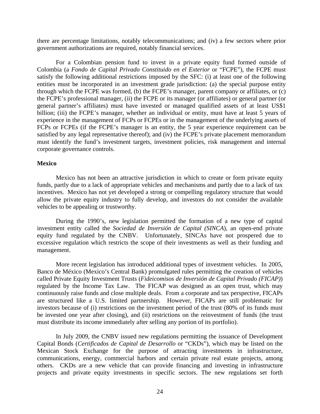there are percentage limitations, notably telecommunications; and (iv) a few sectors where prior government authorizations are required, notably financial services.

For a Colombian pension fund to invest in a private equity fund formed outside of Colombia (a *Fondo de Capital Privado Constituido en el Exterior* or "FCPE"), the FCPE must satisfy the following additional restrictions imposed by the SFC: (i) at least one of the following entities must be incorporated in an investment grade jurisdiction: (a) the special purpose entity through which the FCPE was formed, (b) the FCPE's manager, parent company or affiliates, or (c) the FCPE's professional manager, (ii) the FCPE or its manager (or affiliates) or general partner (or general partner's affiliates) must have invested or managed qualified assets of at least US\$1 billion; (iii) the FCPE's manager, whether an individual or entity, must have at least 5 years of experience in the management of FCPs or FCPEs or in the management of the underlying assets of FCPs or FCPEs (if the FCPE's manager is an entity, the 5 year experience requirement can be satisfied by any legal representative thereof); and (iv) the FCPE's private placement memorandum must identify the fund's investment targets, investment policies, risk management and internal corporate governance controls.

#### **Mexico**

Mexico has not been an attractive jurisdiction in which to create or form private equity funds, partly due to a lack of appropriate vehicles and mechanisms and partly due to a lack of tax incentives. Mexico has not yet developed a strong or compelling regulatory structure that would allow the private equity industry to fully develop, and investors do not consider the available vehicles to be appealing or trustworthy.

During the 1990's, new legislation permitted the formation of a new type of capital investment entity called the *Sociedad de Inversión de Capital (SINCA*), an open-end private equity fund regulated by the CNBV. Unfortunately, SINCAs have not prospered due to excessive regulation which restricts the scope of their investments as well as their funding and management.

More recent legislation has introduced additional types of investment vehicles. In 2005, Banco de México (Mexico's Central Bank) promulgated rules permitting the creation of vehicles called Private Equity Investment Trusts (*Fideicomisos de Inversión de Capital Privado (FICAP)*) regulated by the Income Tax Law. The FICAP was designed as an open trust, which may continuously raise funds and close multiple deals. From a corporate and tax perspective, FICAPs are structured like a U.S. limited partnership. However, FICAPs are still problematic for investors because of (i) restrictions on the investment period of the trust (80% of its funds must be invested one year after closing), and (ii) restrictions on the reinvestment of funds (the trust must distribute its income immediately after selling any portion of its portfolio).

In July 2009, the CNBV issued new regulations permitting the issuance of Development Capital Bonds (*Certificados de Capital de Desarrollo* or "CKDs"), which may be listed on the Mexican Stock Exchange for the purpose of attracting investments in infrastructure, communications, energy, commercial harbors and certain private real estate projects, among others. CKDs are a new vehicle that can provide financing and investing in infrastructure projects and private equity investments in specific sectors. The new regulations set forth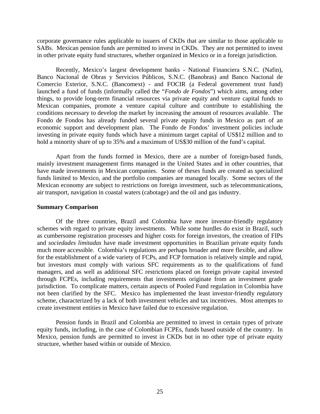corporate governance rules applicable to issuers of CKDs that are similar to those applicable to SABs. Mexican pension funds are permitted to invest in CKDs. They are not permitted to invest in other private equity fund structures, whether organized in Mexico or in a foreign jurisdiction.

Recently, Mexico's largest development banks - National Financiera S.N.C. (Nafin), Banco Nacional de Obras y Servicios Públicos, S.N.C. (Banobras) and Banco Nacional de Comercio Exterior, S.N.C. (Bancomext) - and FOCIR (a Federal government trust fund) launched a fund of funds (informally called the "*Fondo de Fondos*") which aims, among other things, to provide long-term financial resources via private equity and venture capital funds to Mexican companies, promote a venture capital culture and contribute to establishing the conditions necessary to develop the market by increasing the amount of resources available. The Fondo de Fondos has already funded several private equity funds in Mexico as part of an economic support and development plan. The Fondo de Fondos' investment policies include investing in private equity funds which have a minimum target capital of US\$12 million and to hold a minority share of up to 35% and a maximum of US\$30 million of the fund's capital.

Apart from the funds formed in Mexico, there are a number of foreign-based funds, mainly investment management firms managed in the United States and in other countries, that have made investments in Mexican companies. Some of theses funds are created as specialized funds limited to Mexico, and the portfolio companies are managed locally. Some sectors of the Mexican economy are subject to restrictions on foreign investment, such as telecommunications, air transport, navigation in coastal waters (cabotage) and the oil and gas industry.

#### **Summary Comparison**

Of the three countries, Brazil and Colombia have more investor-friendly regulatory schemes with regard to private equity investments. While some hurdles do exist in Brazil, such as cumbersome registration processes and higher costs for foreign investors, the creation of FIPs and *sociedades limitadas* have made investment opportunities in Brazilian private equity funds much more accessible. Colombia's regulations are perhaps broader and more flexible, and allow for the establishment of a wide variety of FCPs, and FCP formation is relatively simple and rapid, but investors must comply with various SFC requirements as to the qualifications of fund managers, and as well as additional SFC restrictions placed on foreign private capital invested through FCPEs, including requirements that investments originate from an investment grade jurisdiction. To complicate matters, certain aspects of Pooled Fund regulation in Colombia have not been clarified by the SFC. Mexico has implemented the least investor-friendly regulatory scheme, characterized by a lack of both investment vehicles and tax incentives. Most attempts to create investment entities in Mexico have failed due to excessive regulation.

Pension funds in Brazil and Colombia are permitted to invest in certain types of private equity funds, including, in the case of Colombian FCPEs, funds based outside of the country. In Mexico, pension funds are permitted to invest in CKDs but in no other type of private equity structure, whether based within or outside of Mexico.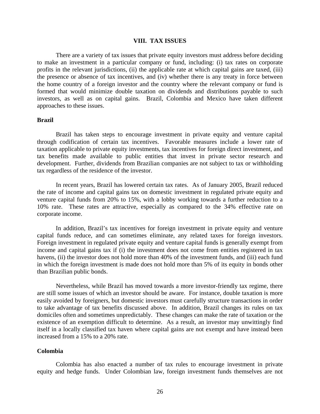#### **VIII. TAX ISSUES**

There are a variety of tax issues that private equity investors must address before deciding to make an investment in a particular company or fund, including: (i) tax rates on corporate profits in the relevant jurisdictions, (ii) the applicable rate at which capital gains are taxed, (iii) the presence or absence of tax incentives, and (iv) whether there is any treaty in force between the home country of a foreign investor and the country where the relevant company or fund is formed that would minimize double taxation on dividends and distributions payable to such investors, as well as on capital gains. Brazil, Colombia and Mexico have taken different approaches to these issues.

#### **Brazil**

 Brazil has taken steps to encourage investment in private equity and venture capital through codification of certain tax incentives. Favorable measures include a lower rate of taxation applicable to private equity investments, tax incentives for foreign direct investment, and tax benefits made available to public entities that invest in private sector research and development. Further, dividends from Brazilian companies are not subject to tax or withholding tax regardless of the residence of the investor.

 In recent years, Brazil has lowered certain tax rates. As of January 2005, Brazil reduced the rate of income and capital gains tax on domestic investment in regulated private equity and venture capital funds from 20% to 15%, with a lobby working towards a further reduction to a 10% rate. These rates are attractive, especially as compared to the 34% effective rate on corporate income.

 In addition, Brazil's tax incentives for foreign investment in private equity and venture capital funds reduce, and can sometimes eliminate, any related taxes for foreign investors. Foreign investment in regulated private equity and venture capital funds is generally exempt from income and capital gains tax if (i) the investment does not come from entities registered in tax havens, (ii) the investor does not hold more than 40% of the investment funds, and (iii) each fund in which the foreign investment is made does not hold more than 5% of its equity in bonds other than Brazilian public bonds.

Nevertheless, while Brazil has moved towards a more investor-friendly tax regime, there are still some issues of which an investor should be aware. For instance, double taxation is more easily avoided by foreigners, but domestic investors must carefully structure transactions in order to take advantage of tax benefits discussed above. In addition, Brazil changes its rules on tax domiciles often and sometimes unpredictably. These changes can make the rate of taxation or the existence of an exemption difficult to determine. As a result, an investor may unwittingly find itself in a locally classified tax haven where capital gains are not exempt and have instead been increased from a 15% to a 20% rate.

## **Colombia**

Colombia has also enacted a number of tax rules to encourage investment in private equity and hedge funds. Under Colombian law, foreign investment funds themselves are not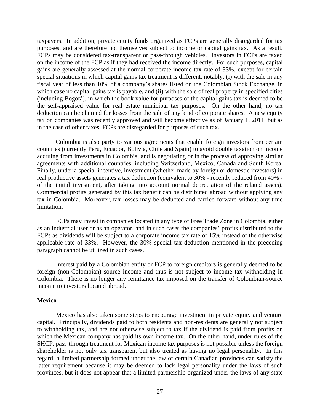taxpayers. In addition, private equity funds organized as FCPs are generally disregarded for tax purposes, and are therefore not themselves subject to income or capital gains tax. As a result, FCPs may be considered tax-transparent or pass-through vehicles. Investors in FCPs are taxed on the income of the FCP as if they had received the income directly. For such purposes, capital gains are generally assessed at the normal corporate income tax rate of 33%, except for certain special situations in which capital gains tax treatment is different, notably: (i) with the sale in any fiscal year of less than 10% of a company's shares listed on the Colombian Stock Exchange, in which case no capital gains tax is payable, and (ii) with the sale of real property in specified cities (including Bogotá), in which the book value for purposes of the capital gains tax is deemed to be the self-appraised value for real estate municipal tax purposes. On the other hand, no tax deduction can be claimed for losses from the sale of any kind of corporate shares. A new equity tax on companies was recently approved and will become effective as of January 1, 2011, but as in the case of other taxes, FCPs are disregarded for purposes of such tax.

Colombia is also party to various agreements that enable foreign investors from certain countries (currently Perú, Ecuador, Bolivia, Chile and Spain) to avoid double taxation on income accruing from investments in Colombia, and is negotiating or in the process of approving similar agreements with additional countries, including Switzerland, Mexico, Canada and South Korea. Finally, under a special incentive, investment (whether made by foreign or domestic investors) in real productive assets generates a tax deduction (equivalent to 30% - recently reduced from 40% of the initial investment, after taking into account normal depreciation of the related assets). Commercial profits generated by this tax benefit can be distributed abroad without applying any tax in Colombia. Moreover, tax losses may be deducted and carried forward without any time limitation.

FCPs may invest in companies located in any type of Free Trade Zone in Colombia, either as an industrial user or as an operator, and in such cases the companies' profits distributed to the FCPs as dividends will be subject to a corporate income tax rate of 15% instead of the otherwise applicable rate of 33%. However, the 30% special tax deduction mentioned in the preceding paragraph cannot be utilized in such cases.

Interest paid by a Colombian entity or FCP to foreign creditors is generally deemed to be foreign (non-Colombian) source income and thus is not subject to income tax withholding in Colombia. There is no longer any remittance tax imposed on the transfer of Colombian-source income to investors located abroad.

## **Mexico**

 Mexico has also taken some steps to encourage investment in private equity and venture capital. Principally, dividends paid to both residents and non-residents are generally not subject to withholding tax, and are not otherwise subject to tax if the dividend is paid from profits on which the Mexican company has paid its own income tax. On the other hand, under rules of the SHCP, pass-through treatment for Mexican income tax purposes is not possible unless the foreign shareholder is not only tax transparent but also treated as having no legal personality. In this regard, a limited partnership formed under the law of certain Canadian provinces can satisfy the latter requirement because it may be deemed to lack legal personality under the laws of such provinces, but it does not appear that a limited partnership organized under the laws of any state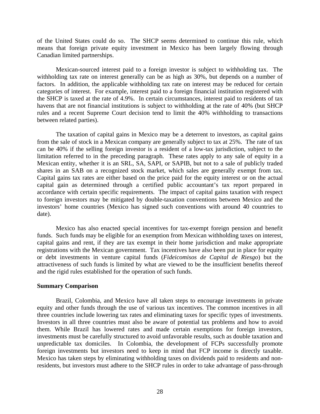of the United States could do so. The SHCP seems determined to continue this rule, which means that foreign private equity investment in Mexico has been largely flowing through Canadian limited partnerships.

 Mexican-sourced interest paid to a foreign investor is subject to withholding tax. The withholding tax rate on interest generally can be as high as 30%, but depends on a number of factors. In addition, the applicable withholding tax rate on interest may be reduced for certain categories of interest. For example, interest paid to a foreign financial institution registered with the SHCP is taxed at the rate of 4.9%. In certain circumstances, interest paid to residents of tax havens that are not financial institutions is subject to withholding at the rate of 40% (but SHCP rules and a recent Supreme Court decision tend to limit the 40% withholding to transactions between related parties).

 The taxation of capital gains in Mexico may be a deterrent to investors, as capital gains from the sale of stock in a Mexican company are generally subject to tax at 25%. The rate of tax can be 40% if the selling foreign investor is a resident of a low-tax jurisdiction, subject to the limitation referred to in the preceding paragraph. These rates apply to any sale of equity in a Mexican entity, whether it is an SRL, SA, SAPI, or SAPIB, but not to a sale of publicly traded shares in an SAB on a recognized stock market, which sales are generally exempt from tax. Capital gains tax rates are either based on the price paid for the equity interest or on the actual capital gain as determined through a certified public accountant's tax report prepared in accordance with certain specific requirements. The impact of capital gains taxation with respect to foreign investors may be mitigated by double-taxation conventions between Mexico and the investors' home countries (Mexico has signed such conventions with around 40 countries to date).

 Mexico has also enacted special incentives for tax-exempt foreign pension and benefit funds. Such funds may be eligible for an exemption from Mexican withholding taxes on interest, capital gains and rent, if they are tax exempt in their home jurisdiction and make appropriate registrations with the Mexican government. Tax incentives have also been put in place for equity or debt investments in venture capital funds (*Fideicomisos de Capital de Riesgo*) but the attractiveness of such funds is limited by what are viewed to be the insufficient benefits thereof and the rigid rules established for the operation of such funds.

## **Summary Comparison**

Brazil, Colombia, and Mexico have all taken steps to encourage investments in private equity and other funds through the use of various tax incentives. The common incentives in all three countries include lowering tax rates and eliminating taxes for specific types of investments. Investors in all three countries must also be aware of potential tax problems and how to avoid them. While Brazil has lowered rates and made certain exemptions for foreign investors, investments must be carefully structured to avoid unfavorable results, such as double taxation and unpredictable tax domiciles. In Colombia, the development of FCPs successfully promote foreign investments but investors need to keep in mind that FCP income is directly taxable. Mexico has taken steps by eliminating withholding taxes on dividends paid to residents and nonresidents, but investors must adhere to the SHCP rules in order to take advantage of pass-through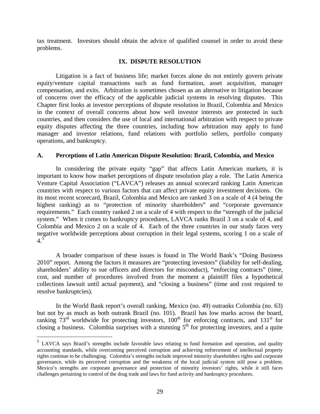tax treatment. Investors should obtain the advice of qualified counsel in order to avoid these problems.

# **IX. DISPUTE RESOLUTION**

Litigation is a fact of business life; market forces alone do not entirely govern private equity/venture capital transactions such as fund formation, asset acquisition, manager compensation, and exits. Arbitration is sometimes chosen as an alternative to litigation because of concerns over the efficacy of the applicable judicial systems in resolving disputes. This Chapter first looks at investor perceptions of dispute resolution in Brazil, Colombia and Mexico in the context of overall concerns about how well investor interests are protected in such countries, and then considers the use of local and international arbitration with respect to private equity disputes affecting the three countries, including how arbitration may apply to fund manager and investor relations, fund relations with portfolio sellers, portfolio company operations, and bankruptcy.

## **A. Perceptions of Latin American Dispute Resolution: Brazil, Colombia, and Mexico**

In considering the private equity "gap" that affects Latin American markets, it is important to know how market perceptions of dispute resolution play a role. The Latin America Venture Capital Association ("LAVCA") releases an annual scorecard ranking Latin American countries with respect to various factors that can affect private equity investment decisions. On its most recent scorecard, Brazil, Colombia and Mexico are ranked 3 on a scale of 4 (4 being the highest ranking) as to "protection of minority shareholders" and "corporate governance requirements." Each country ranked 2 on a scale of 4 with respect to the "strength of the judicial system." When it comes to bankruptcy procedures, LAVCA ranks Brazil 3 on a scale of 4, and Colombia and Mexico 2 on a scale of 4. Each of the three countries in our study faces very negative worldwide perceptions about corruption in their legal systems, scoring 1 on a scale of  $4.5$  $4.5$ 

A broader comparison of these issues is found in The World Bank's "Doing Business 2010" report. Among the factors it measures are "protecting investors" (liability for self-dealing, shareholders' ability to sue officers and directors for misconduct), "enforcing contracts" (time, cost, and number of procedures involved from the moment a plaintiff files a hypothetical collections lawsuit until actual payment), and "closing a business" (time and cost required to resolve bankruptcies).

In the World Bank report's overall ranking, Mexico (no. 49) outranks Colombia (no. 63) but not by as much as both outrank Brazil (no. 101). Brazil has low marks across the board, ranking  $73<sup>rd</sup>$  worldwide for protecting investors, 100<sup>th</sup> for enforcing contracts, and 131<sup>st</sup> for closing a business. Colombia surprises with a stunning  $5<sup>th</sup>$  for protecting investors, and a quite

 $\overline{a}$ 

<span id="page-29-0"></span><sup>&</sup>lt;sup>5</sup> LAVCA says Brazil's strengths include favorable laws relating to fund formation and operation, and quality accounting standards, while overcoming perceived corruption and achieving enforcement of intellectual property rights continue to be challenging. Colombia's strengths include improved minority shareholders rights and corporate governance, while its perceived corruption and the weakness of the local judicial system still pose a problem. Mexico's strengths are corporate governance and protection of minority investors' rights, while it still faces challenges pertaining to control of the drug trade and laws for fund activity and bankruptcy procedures.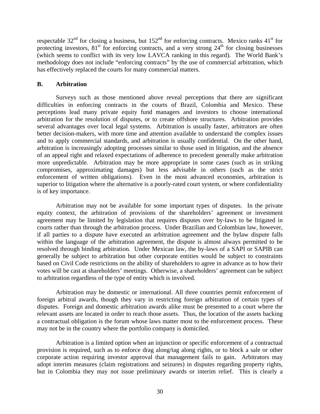respectable  $32<sup>nd</sup>$  for closing a business, but  $152<sup>nd</sup>$  for enforcing contracts. Mexico ranks  $41<sup>st</sup>$  for protecting investors,  $81<sup>st</sup>$  for enforcing contracts, and a very strong  $24<sup>th</sup>$  for closing businesses (which seems to conflict with its very low LAVCA ranking in this regard). The World Bank's methodology does not include "enforcing contracts" by the use of commercial arbitration, which has effectively replaced the courts for many commercial matters.

## **B. Arbitration**

Surveys such as those mentioned above reveal perceptions that there are significant difficulties in enforcing contracts in the courts of Brazil, Colombia and Mexico. These perceptions lead many private equity fund managers and investors to choose international arbitration for the resolution of disputes, or to create offshore structures. Arbitration provides several advantages over local legal systems. Arbitration is usually faster, arbitrators are often better decision-makers, with more time and attention available to understand the complex issues and to apply commercial standards, and arbitration is usually confidential. On the other hand, arbitration is increasingly adopting processes similar to those used in litigation, and the absence of an appeal right and relaxed expectations of adherence to precedent generally make arbitration more unpredictable. Arbitration may be more appropriate in some cases (such as in striking compromises, approximating damages) but less advisable in others (such as the strict enforcement of written obligations). Even in the most advanced economies, arbitration is superior to litigation where the alternative is a poorly-rated court system, or where confidentiality is of key importance.

Arbitration may not be available for some important types of disputes. In the private equity context, the arbitration of provisions of the shareholders' agreement or investment agreement may be limited by legislation that requires disputes over by-laws to be litigated in courts rather than through the arbitration process. Under Brazilian and Colombian law, however, if all parties to a dispute have executed an arbitration agreement and the bylaw dispute falls within the language of the arbitration agreement, the dispute is almost always permitted to be resolved through binding arbitration. Under Mexican law, the by-laws of a SAPI or SAPIB can generally be subject to arbitration but other corporate entities would be subject to constraints based on Civil Code restrictions on the ability of shareholders to agree in advance as to how their votes will be cast at shareholders' meetings. Otherwise, a shareholders' agreement can be subject to arbitration regardless of the type of entity which is involved.

Arbitration may be domestic or international. All three countries permit enforcement of foreign arbitral awards, though they vary in restricting foreign arbitration of certain types of disputes. Foreign and domestic arbitration awards alike must be presented to a court where the relevant assets are located in order to reach those assets. Thus, the location of the assets backing a contractual obligation is the forum whose laws matter most to the enforcement process. These may not be in the country where the portfolio company is domiciled.

Arbitration is a limited option when an injunction or specific enforcement of a contractual provision is required, such as to enforce drag along/tag along rights, or to block a sale or other corporate action requiring investor approval that management fails to gain. Arbitrators may adopt interim measures (claim registrations and seizures) in disputes regarding property rights, but in Colombia they may not issue preliminary awards or interim relief. This is clearly a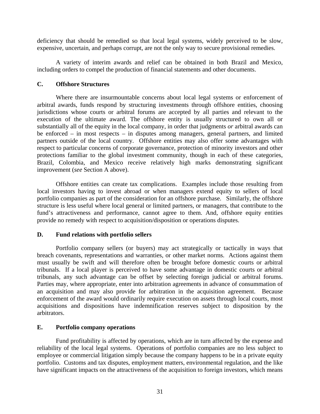deficiency that should be remedied so that local legal systems, widely perceived to be slow, expensive, uncertain, and perhaps corrupt, are not the only way to secure provisional remedies.

A variety of interim awards and relief can be obtained in both Brazil and Mexico, including orders to compel the production of financial statements and other documents.

## **C. Offshore Structures**

Where there are insurmountable concerns about local legal systems or enforcement of arbitral awards, funds respond by structuring investments through offshore entities, choosing jurisdictions whose courts or arbitral forums are accepted by all parties and relevant to the execution of the ultimate award. The offshore entity is usually structured to own all or substantially all of the equity in the local company, in order that judgments *or* arbitral awards can be enforced – in most respects – in disputes among managers, general partners, and limited partners outside of the local country. Offshore entities may also offer some advantages with respect to particular concerns of corporate governance, protection of minority investors and other protections familiar to the global investment community, though in each of these categories, Brazil, Colombia, and Mexico receive relatively high marks demonstrating significant improvement (*see* Section A above).

Offshore entities can create tax complications. Examples include those resulting from local investors having to invest abroad or when managers extend equity to sellers of local portfolio companies as part of the consideration for an offshore purchase. Similarly, the offshore structure is less useful where local general or limited partners, or managers, that contribute to the fund's attractiveness and performance, cannot agree to them. And, offshore equity entities provide no remedy with respect to acquisition/disposition or operations disputes.

# **D. Fund relations with portfolio sellers**

Portfolio company sellers (or buyers) may act strategically or tactically in ways that breach covenants, representations and warranties, or other market norms. Actions against them must usually be swift and will therefore often be brought before domestic courts or arbitral tribunals. If a local player is perceived to have some advantage in domestic courts or arbitral tribunals, any such advantage can be offset by selecting foreign judicial or arbitral forums. Parties may, where appropriate, enter into arbitration agreements in advance of consummation of an acquisition and may also provide for arbitration in the acquisition agreement. Because enforcement of the award would ordinarily require execution on assets through local courts, most acquisitions and dispositions have indemnification reserves subject to disposition by the arbitrators.

# **E. Portfolio company operations**

Fund profitability is affected by operations, which are in turn affected by the expense and reliability of the local legal systems. Operations of portfolio companies are no less subject to employee or commercial litigation simply because the company happens to be in a private equity portfolio. Customs and tax disputes, employment matters, environmental regulation, and the like have significant impacts on the attractiveness of the acquisition to foreign investors, which means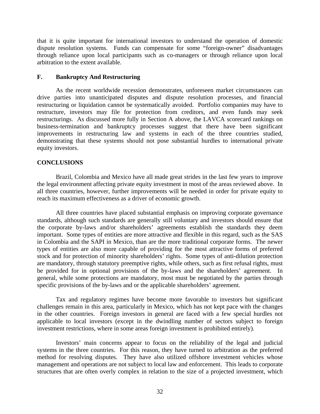that it is quite important for international investors to understand the operation of domestic dispute resolution systems. Funds can compensate for some "foreign-owner" disadvantages through reliance upon local participants such as co-managers or through reliance upon local arbitration to the extent available.

## **F. Bankruptcy And Restructuring**

As the recent worldwide recession demonstrates, unforeseen market circumstances can drive parties into unanticipated disputes and dispute resolution processes, and financial restructuring or liquidation cannot be systematically avoided. Portfolio companies may have to restructure, investors may file for protection from creditors, and even funds may seek restructurings. As discussed more fully in Section A above, the LAVCA scorecard rankings on business-termination and bankruptcy processes suggest that there have been significant improvements in restructuring law and systems in each of the three countries studied, demonstrating that these systems should not pose substantial hurdles to international private equity investors.

# **CONCLUSIONS**

 Brazil, Colombia and Mexico have all made great strides in the last few years to improve the legal environment affecting private equity investment in most of the areas reviewed above. In all three countries, however, further improvements will be needed in order for private equity to reach its maximum effectiveness as a driver of economic growth.

All three countries have placed substantial emphasis on improving corporate governance standards, although such standards are generally still voluntary and investors should ensure that the corporate by-laws and/or shareholders' agreements establish the standards they deem important. Some types of entities are more attractive and flexible in this regard, such as the SAS in Colombia and the SAPI in Mexico, than are the more traditional corporate forms. The newer types of entities are also more capable of providing for the most attractive forms of preferred stock and for protection of minority shareholders' rights. Some types of anti-dilution protection are mandatory, through statutory preemptive rights, while others, such as first refusal rights, must be provided for in optional provisions of the by-laws and the shareholders' agreement. In general, while some protections are mandatory, most must be negotiated by the parties through specific provisions of the by-laws and or the applicable shareholders' agreement.

Tax and regulatory regimes have become more favorable to investors but significant challenges remain in this area, particularly in Mexico, which has not kept pace with the changes in the other countries. Foreign investors in general are faced with a few special hurdles not applicable to local investors (except in the dwindling number of sectors subject to foreign investment restrictions, where in some areas foreign investment is prohibited entirely).

Investors' main concerns appear to focus on the reliability of the legal and judicial systems in the three countries. For this reason, they have turned to arbitration as the preferred method for resolving disputes. They have also utilized offshore investment vehicles whose management and operations are not subject to local law and enforcement. This leads to corporate structures that are often overly complex in relation to the size of a projected investment, which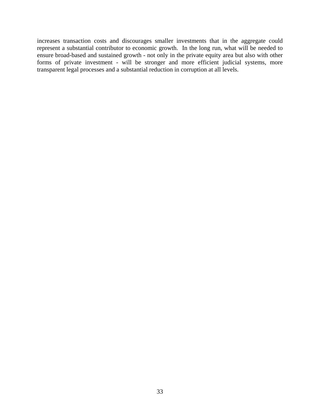increases transaction costs and discourages smaller investments that in the aggregate could represent a substantial contributor to economic growth. In the long run, what will be needed to ensure broad-based and sustained growth - not only in the private equity area but also with other forms of private investment - will be stronger and more efficient judicial systems, more transparent legal processes and a substantial reduction in corruption at all levels.